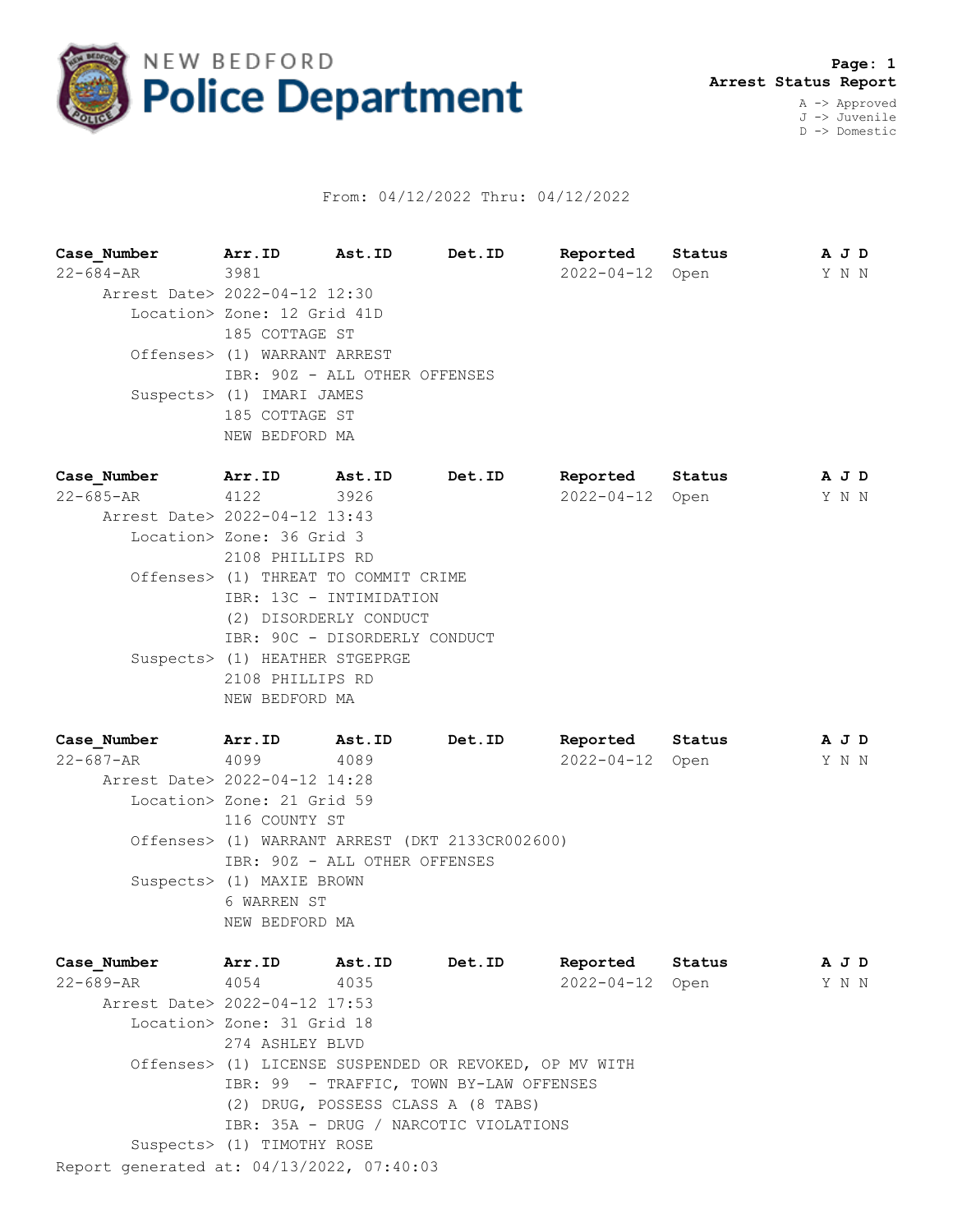

## From: 04/12/2022 Thru: 04/12/2022

**Case\_Number Arr.ID Ast.ID Det.ID Reported Status A J D** 22-684-AR 3981 2022-04-12 Open Y N N Arrest Date> 2022-04-12 12:30 Location> Zone: 12 Grid 41D 185 COTTAGE ST Offenses> (1) WARRANT ARREST IBR: 90Z - ALL OTHER OFFENSES Suspects> (1) IMARI JAMES 185 COTTAGE ST NEW BEDFORD MA **Case\_Number Arr.ID Ast.ID Det.ID Reported Status A J D** 22-685-AR 4122 3926 2022-04-12 Open Y N N Arrest Date> 2022-04-12 13:43 Location> Zone: 36 Grid 3 2108 PHILLIPS RD Offenses> (1) THREAT TO COMMIT CRIME IBR: 13C - INTIMIDATION (2) DISORDERLY CONDUCT IBR: 90C - DISORDERLY CONDUCT Suspects> (1) HEATHER STGEPRGE 2108 PHILLIPS RD NEW BEDFORD MA

| Case Number                   | Arr.ID                     | Ast.ID                                          | Det.ID | Reported         | Status | A J D |  |
|-------------------------------|----------------------------|-------------------------------------------------|--------|------------------|--------|-------|--|
| 22-687-AR                     | 4099                       | 4089                                            |        | $2022 - 04 - 12$ | Open   | Y N N |  |
| Arrest Date> 2022-04-12 14:28 |                            |                                                 |        |                  |        |       |  |
|                               | Location> Zone: 21 Grid 59 |                                                 |        |                  |        |       |  |
|                               | 116 COUNTY ST              |                                                 |        |                  |        |       |  |
|                               |                            | Offenses> (1) WARRANT ARREST (DKT 2133CR002600) |        |                  |        |       |  |
|                               |                            | IBR: 90Z - ALL OTHER OFFENSES                   |        |                  |        |       |  |
|                               | Suspects> (1) MAXIE BROWN  |                                                 |        |                  |        |       |  |
|                               | 6 WARREN ST                |                                                 |        |                  |        |       |  |
|                               | NEW BEDFORD MA             |                                                 |        |                  |        |       |  |
|                               |                            |                                                 |        |                  |        |       |  |

Report generated at: 04/13/2022, 07:40:03 **Case\_Number Arr.ID Ast.ID Det.ID Reported Status A J D** 22-689-AR 4054 4035 2022-04-12 Open Y N N Arrest Date> 2022-04-12 17:53 Location> Zone: 31 Grid 18 274 ASHLEY BLVD Offenses> (1) LICENSE SUSPENDED OR REVOKED, OP MV WITH IBR: 99 - TRAFFIC, TOWN BY-LAW OFFENSES (2) DRUG, POSSESS CLASS A (8 TABS) IBR: 35A - DRUG / NARCOTIC VIOLATIONS Suspects> (1) TIMOTHY ROSE